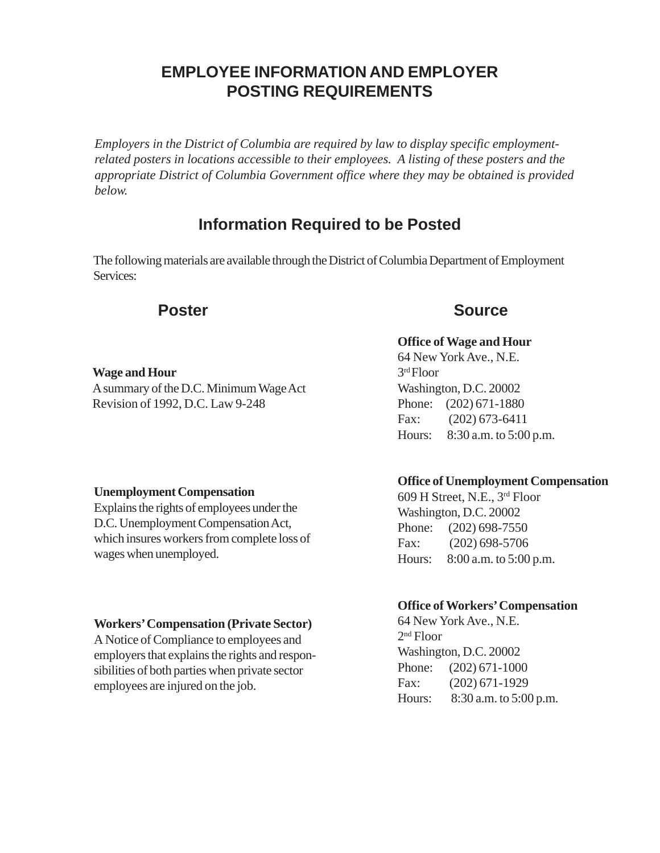# **EMPLOYEE INFORMATION AND EMPLOYER POSTING REQUIREMENTS**

*Employers in the District of Columbia are required by law to display specific employmentrelated posters in locations accessible to their employees. A listing of these posters and the appropriate District of Columbia Government office where they may be obtained is provided below.*

# **Information Required to be Posted**

The following materials are available through the District of Columbia Department of Employment Services:

# **Wage and Hour**

A summary of the D.C. Minimum Wage Act Revision of 1992, D.C. Law 9-248

# **Unemployment Compensation**

Explains the rights of employees under the D.C. Unemployment Compensation Act, which insures workers from complete loss of wages when unemployed.

# **Workers' Compensation (Private Sector)**

A Notice of Compliance to employees and employers that explains the rights and responsibilities of both parties when private sector employees are injured on the job.

# **Poster Source**

### **Office of Wage and Hour**

64 New York Ave., N.E. 3rd Floor Washington, D.C. 20002 Phone: (202) 671-1880 Fax: (202) 673-6411 Hours: 8:30 a.m. to 5:00 p.m.

#### **Office of Unemployment Compensation**

609 H Street, N.E., 3rd Floor Washington, D.C. 20002 Phone: (202) 698-7550 Fax: (202) 698-5706 Hours: 8:00 a.m. to 5:00 p.m.

#### **Office of Workers' Compensation**

64 New York Ave., N.E. 2nd Floor Washington, D.C. 20002 Phone: (202) 671-1000 Fax: (202) 671-1929 Hours: 8:30 a.m. to 5:00 p.m.